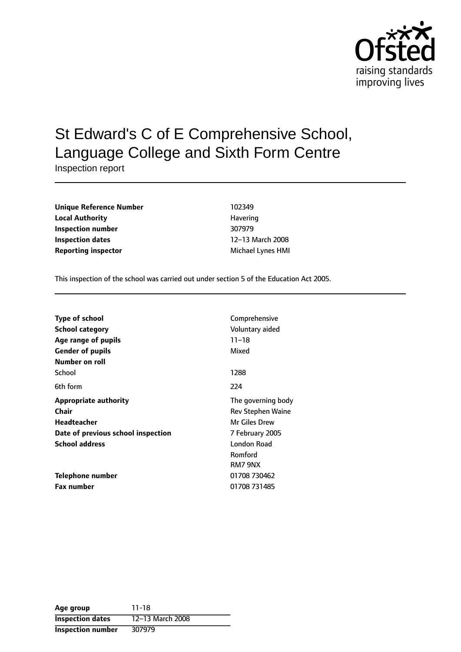

# St Edward's C of E Comprehensive School, Language College and Sixth Form Centre

Inspection report

| <b>Unique Reference Number</b> | 102349            |  |
|--------------------------------|-------------------|--|
| <b>Local Authority</b>         | Havering          |  |
| Inspection number              | 307979            |  |
| Inspection dates               | 12-13 March 2008  |  |
| <b>Reporting inspector</b>     | Michael Lynes HMI |  |

This inspection of the school was carried out under section 5 of the Education Act 2005.

| <b>Type of school</b>              | Comprehensive            |
|------------------------------------|--------------------------|
| <b>School category</b>             | Voluntary aided          |
| Age range of pupils                | $11 - 18$                |
| <b>Gender of pupils</b>            | Mixed                    |
| Number on roll                     |                          |
| School                             | 1288                     |
| 6th form                           | 224                      |
| <b>Appropriate authority</b>       | The governing body       |
| Chair                              | <b>Rev Stephen Waine</b> |
| <b>Headteacher</b>                 | <b>Mr Giles Drew</b>     |
| Date of previous school inspection | 7 February 2005          |
| <b>School address</b>              | London Road              |
|                                    | Romford                  |
|                                    | RM7 9NX                  |
| Telephone number                   | 01708 730462             |
| <b>Fax number</b>                  | 01708 731485             |

| Age group                | 11-18            |
|--------------------------|------------------|
| <b>Inspection dates</b>  | 12-13 March 2008 |
| <b>Inspection number</b> | 307979           |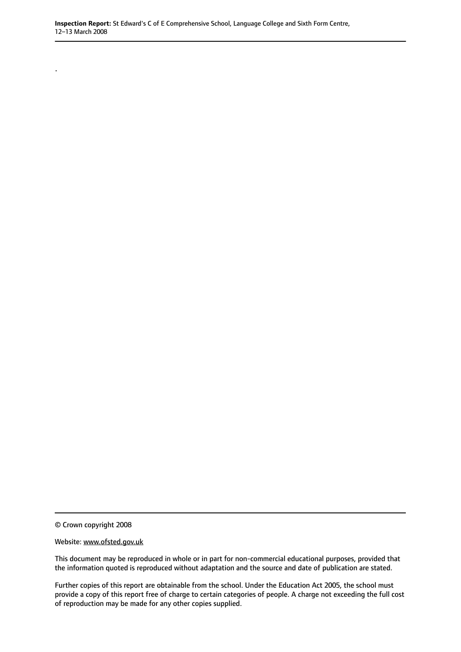© Crown copyright 2008

.

Website: www.ofsted.gov.uk

This document may be reproduced in whole or in part for non-commercial educational purposes, provided that the information quoted is reproduced without adaptation and the source and date of publication are stated.

Further copies of this report are obtainable from the school. Under the Education Act 2005, the school must provide a copy of this report free of charge to certain categories of people. A charge not exceeding the full cost of reproduction may be made for any other copies supplied.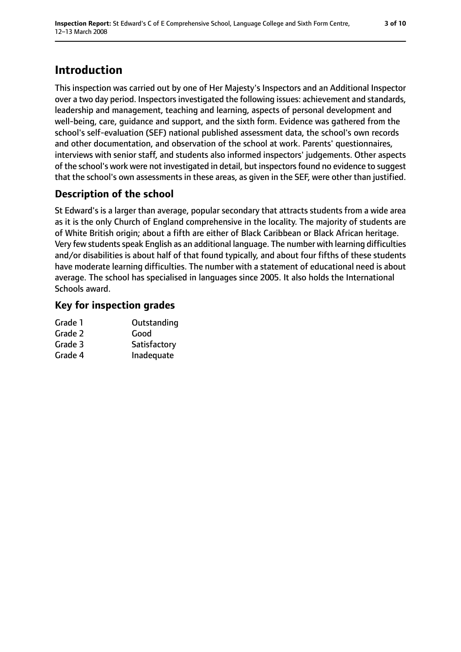## **Introduction**

This inspection was carried out by one of Her Majesty's Inspectors and an Additional Inspector over a two day period. Inspectors investigated the following issues: achievement and standards, leadership and management, teaching and learning, aspects of personal development and well-being, care, guidance and support, and the sixth form. Evidence was gathered from the school's self-evaluation (SEF) national published assessment data, the school's own records and other documentation, and observation of the school at work. Parents' questionnaires, interviews with senior staff, and students also informed inspectors' judgements. Other aspects of the school's work were not investigated in detail, but inspectors found no evidence to suggest that the school's own assessments in these areas, as given in the SEF, were other than justified.

### **Description of the school**

St Edward's is a larger than average, popular secondary that attracts students from a wide area as it is the only Church of England comprehensive in the locality. The majority of students are of White British origin; about a fifth are either of Black Caribbean or Black African heritage. Very few students speak English as an additional language. The number with learning difficulties and/or disabilities is about half of that found typically, and about four fifths of these students have moderate learning difficulties. The number with a statement of educational need is about average. The school has specialised in languages since 2005. It also holds the International Schools award.

### **Key for inspection grades**

| Outstanding  |
|--------------|
| Good         |
| Satisfactory |
| Inadequate   |
|              |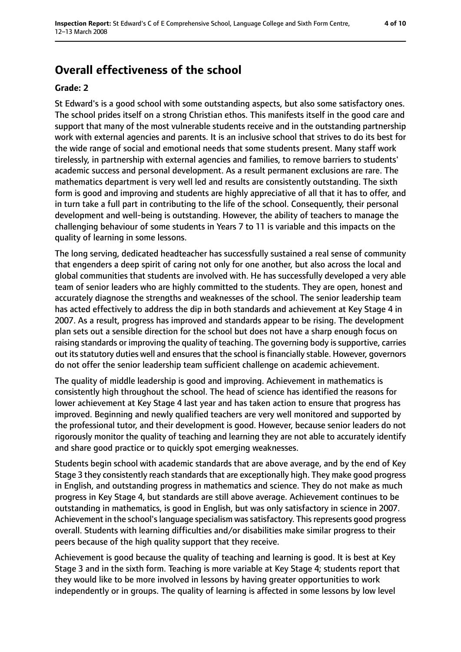### **Overall effectiveness of the school**

#### **Grade: 2**

St Edward's is a good school with some outstanding aspects, but also some satisfactory ones. The school prides itself on a strong Christian ethos. This manifests itself in the good care and support that many of the most vulnerable students receive and in the outstanding partnership work with external agencies and parents. It is an inclusive school that strives to do its best for the wide range of social and emotional needs that some students present. Many staff work tirelessly, in partnership with external agencies and families, to remove barriers to students' academic success and personal development. As a result permanent exclusions are rare. The mathematics department is very well led and results are consistently outstanding. The sixth form is good and improving and students are highly appreciative of all that it has to offer, and in turn take a full part in contributing to the life of the school. Consequently, their personal development and well-being is outstanding. However, the ability of teachers to manage the challenging behaviour of some students in Years 7 to 11 is variable and this impacts on the quality of learning in some lessons.

The long serving, dedicated headteacher has successfully sustained a real sense of community that engenders a deep spirit of caring not only for one another, but also across the local and global communities that students are involved with. He has successfully developed a very able team of senior leaders who are highly committed to the students. They are open, honest and accurately diagnose the strengths and weaknesses of the school. The senior leadership team has acted effectively to address the dip in both standards and achievement at Key Stage 4 in 2007. As a result, progress has improved and standards appear to be rising. The development plan sets out a sensible direction for the school but does not have a sharp enough focus on raising standards or improving the quality of teaching. The governing body is supportive, carries out its statutory duties well and ensures that the school is financially stable. However, governors do not offer the senior leadership team sufficient challenge on academic achievement.

The quality of middle leadership is good and improving. Achievement in mathematics is consistently high throughout the school. The head of science has identified the reasons for lower achievement at Key Stage 4 last year and has taken action to ensure that progress has improved. Beginning and newly qualified teachers are very well monitored and supported by the professional tutor, and their development is good. However, because senior leaders do not rigorously monitor the quality of teaching and learning they are not able to accurately identify and share good practice or to quickly spot emerging weaknesses.

Students begin school with academic standards that are above average, and by the end of Key Stage 3 they consistently reach standards that are exceptionally high. They make good progress in English, and outstanding progress in mathematics and science. They do not make as much progress in Key Stage 4, but standards are still above average. Achievement continues to be outstanding in mathematics, is good in English, but was only satisfactory in science in 2007. Achievement in the school's language specialism was satisfactory. This represents good progress overall. Students with learning difficulties and/or disabilities make similar progress to their peers because of the high quality support that they receive.

Achievement is good because the quality of teaching and learning is good. It is best at Key Stage 3 and in the sixth form. Teaching is more variable at Key Stage 4; students report that they would like to be more involved in lessons by having greater opportunities to work independently or in groups. The quality of learning is affected in some lessons by low level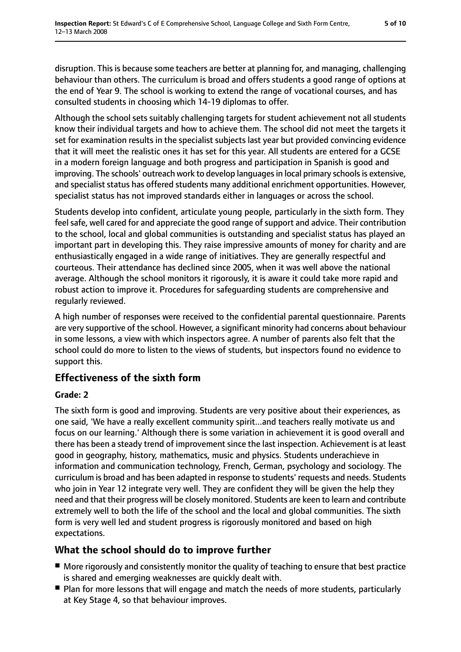disruption. This is because some teachers are better at planning for, and managing, challenging behaviour than others. The curriculum is broad and offers students a good range of options at the end of Year 9. The school is working to extend the range of vocational courses, and has consulted students in choosing which 14-19 diplomas to offer.

Although the school sets suitably challenging targets for student achievement not all students know their individual targets and how to achieve them. The school did not meet the targets it set for examination results in the specialist subjects last year but provided convincing evidence that it will meet the realistic ones it has set for this year. All students are entered for a GCSE in a modern foreign language and both progress and participation in Spanish is good and improving. The schools' outreach work to develop languages in local primary schools is extensive, and specialist status has offered students many additional enrichment opportunities. However, specialist status has not improved standards either in languages or across the school.

Students develop into confident, articulate young people, particularly in the sixth form. They feel safe, well cared for and appreciate the good range of support and advice. Their contribution to the school, local and global communities is outstanding and specialist status has played an important part in developing this. They raise impressive amounts of money for charity and are enthusiastically engaged in a wide range of initiatives. They are generally respectful and courteous. Their attendance has declined since 2005, when it was well above the national average. Although the school monitors it rigorously, it is aware it could take more rapid and robust action to improve it. Procedures for safeguarding students are comprehensive and regularly reviewed.

A high number of responses were received to the confidential parental questionnaire. Parents are very supportive of the school. However, a significant minority had concerns about behaviour in some lessons, a view with which inspectors agree. A number of parents also felt that the school could do more to listen to the views of students, but inspectors found no evidence to support this.

#### **Effectiveness of the sixth form**

#### **Grade: 2**

The sixth form is good and improving. Students are very positive about their experiences, as one said, 'We have a really excellent community spirit...and teachers really motivate us and focus on our learning.' Although there is some variation in achievement it is good overall and there has been a steady trend of improvement since the last inspection. Achievement is at least good in geography, history, mathematics, music and physics. Students underachieve in information and communication technology, French, German, psychology and sociology. The curriculum is broad and has been adapted in response to students' requests and needs. Students who join in Year 12 integrate very well. They are confident they will be given the help they need and that their progress will be closely monitored. Students are keen to learn and contribute extremely well to both the life of the school and the local and global communities. The sixth form is very well led and student progress is rigorously monitored and based on high expectations.

#### **What the school should do to improve further**

- More rigorously and consistently monitor the quality of teaching to ensure that best practice is shared and emerging weaknesses are quickly dealt with.
- Plan for more lessons that will engage and match the needs of more students, particularly at Key Stage 4, so that behaviour improves.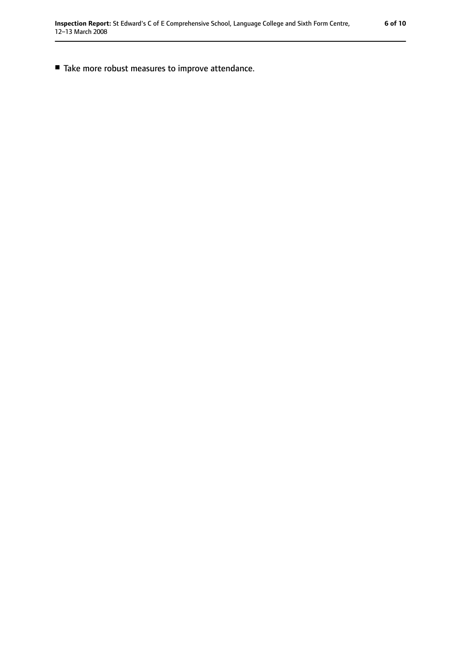■ Take more robust measures to improve attendance.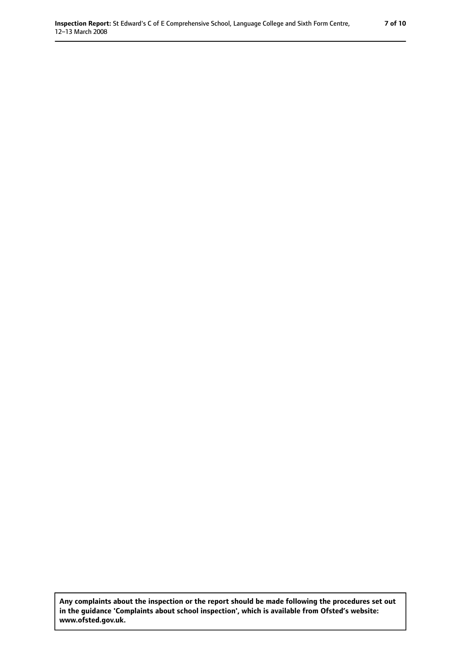**Any complaints about the inspection or the report should be made following the procedures set out in the guidance 'Complaints about school inspection', which is available from Ofsted's website: www.ofsted.gov.uk.**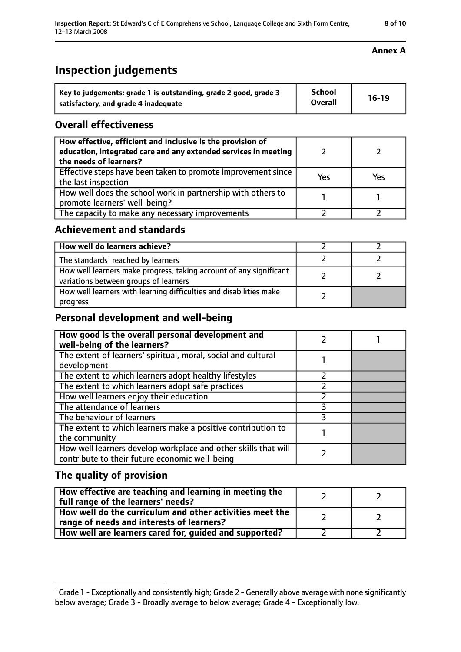### **Inspection judgements**

| Key to judgements: grade 1 is outstanding, grade 2 good, grade 3 | <b>School</b>  | $16-19$ |
|------------------------------------------------------------------|----------------|---------|
| satisfactory, and grade 4 inadequate                             | <b>Overall</b> |         |

### **Overall effectiveness**

| How effective, efficient and inclusive is the provision of<br>education, integrated care and any extended services in meeting<br>the needs of learners? |     |     |
|---------------------------------------------------------------------------------------------------------------------------------------------------------|-----|-----|
| Effective steps have been taken to promote improvement since<br>the last inspection                                                                     | Yes | Yes |
| How well does the school work in partnership with others to<br>promote learners' well-being?                                                            |     |     |
| The capacity to make any necessary improvements                                                                                                         |     |     |

#### **Achievement and standards**

| How well do learners achieve?                                                                               |  |
|-------------------------------------------------------------------------------------------------------------|--|
| The standards <sup>1</sup> reached by learners                                                              |  |
| How well learners make progress, taking account of any significant<br>variations between groups of learners |  |
| How well learners with learning difficulties and disabilities make<br>progress                              |  |

#### **Personal development and well-being**

| How good is the overall personal development and<br>well-being of the learners?                                  |  |
|------------------------------------------------------------------------------------------------------------------|--|
| The extent of learners' spiritual, moral, social and cultural                                                    |  |
| development                                                                                                      |  |
| The extent to which learners adopt healthy lifestyles                                                            |  |
| The extent to which learners adopt safe practices                                                                |  |
| How well learners enjoy their education                                                                          |  |
| The attendance of learners                                                                                       |  |
| The behaviour of learners                                                                                        |  |
| The extent to which learners make a positive contribution to<br>the community                                    |  |
| How well learners develop workplace and other skills that will<br>contribute to their future economic well-being |  |

## **The quality of provision**

| How effective are teaching and learning in meeting the<br>full range of the learners' needs?          |  |
|-------------------------------------------------------------------------------------------------------|--|
| How well do the curriculum and other activities meet the<br>range of needs and interests of learners? |  |
| How well are learners cared for, guided and supported?                                                |  |

 $^1$  Grade 1 - Exceptionally and consistently high; Grade 2 - Generally above average with none significantly below average; Grade 3 - Broadly average to below average; Grade 4 - Exceptionally low.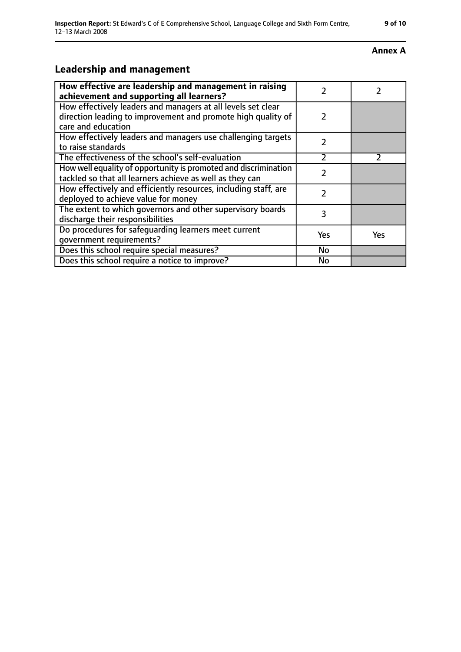#### **Annex A**

### **Leadership and management**

| How effective are leadership and management in raising<br>achievement and supporting all learners?                                                 | $\mathcal{P}$ |     |
|----------------------------------------------------------------------------------------------------------------------------------------------------|---------------|-----|
| How effectively leaders and managers at all levels set clear<br>direction leading to improvement and promote high quality of<br>care and education |               |     |
| How effectively leaders and managers use challenging targets<br>to raise standards                                                                 | $\mathcal{P}$ |     |
| The effectiveness of the school's self-evaluation                                                                                                  | $\mathcal{P}$ |     |
| How well equality of opportunity is promoted and discrimination<br>tackled so that all learners achieve as well as they can                        | $\mathcal{P}$ |     |
| How effectively and efficiently resources, including staff, are<br>deployed to achieve value for money                                             | 2             |     |
| The extent to which governors and other supervisory boards<br>discharge their responsibilities                                                     | 3             |     |
| Do procedures for safequarding learners meet current<br>qovernment requirements?                                                                   | Yes           | Yes |
| Does this school require special measures?                                                                                                         | No            |     |
| Does this school require a notice to improve?                                                                                                      | <b>No</b>     |     |